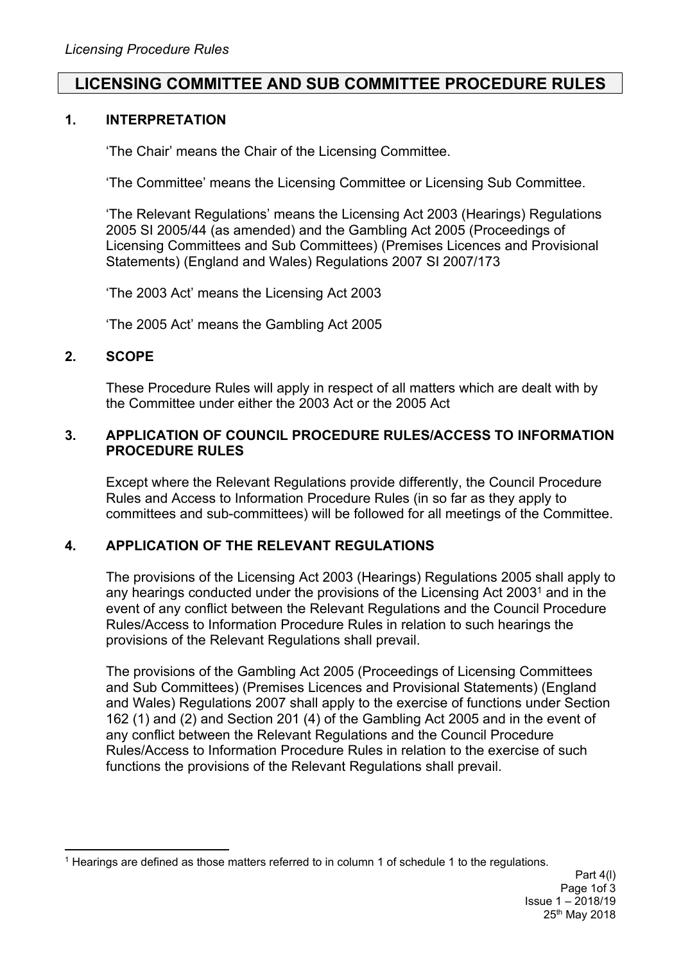# **LICENSING COMMITTEE AND SUB COMMITTEE PROCEDURE RULES**

### **1. INTERPRETATION**

'The Chair' means the Chair of the Licensing Committee.

'The Committee' means the Licensing Committee or Licensing Sub Committee.

'The Relevant Regulations' means the Licensing Act 2003 (Hearings) Regulations 2005 SI 2005/44 (as amended) and the Gambling Act 2005 (Proceedings of Licensing Committees and Sub Committees) (Premises Licences and Provisional Statements) (England and Wales) Regulations 2007 SI 2007/173

'The 2003 Act' means the Licensing Act 2003

'The 2005 Act' means the Gambling Act 2005

### **2. SCOPE**

These Procedure Rules will apply in respect of all matters which are dealt with by the Committee under either the 2003 Act or the 2005 Act

#### **3. APPLICATION OF COUNCIL PROCEDURE RULES/ACCESS TO INFORMATION PROCEDURE RULES**

Except where the Relevant Regulations provide differently, the Council Procedure Rules and Access to Information Procedure Rules (in so far as they apply to committees and sub-committees) will be followed for all meetings of the Committee.

## **4. APPLICATION OF THE RELEVANT REGULATIONS**

The provisions of the Licensing Act 2003 (Hearings) Regulations 2005 shall apply to any hearings conducted under the provisions of the Licensing Act 2003<sup>1</sup> and in the event of any conflict between the Relevant Regulations and the Council Procedure Rules/Access to Information Procedure Rules in relation to such hearings the provisions of the Relevant Regulations shall prevail.

The provisions of the Gambling Act 2005 (Proceedings of Licensing Committees and Sub Committees) (Premises Licences and Provisional Statements) (England and Wales) Regulations 2007 shall apply to the exercise of functions under Section 162 (1) and (2) and Section 201 (4) of the Gambling Act 2005 and in the event of any conflict between the Relevant Regulations and the Council Procedure Rules/Access to Information Procedure Rules in relation to the exercise of such functions the provisions of the Relevant Regulations shall prevail.

<sup>1</sup> Hearings are defined as those matters referred to in column 1 of schedule 1 to the regulations.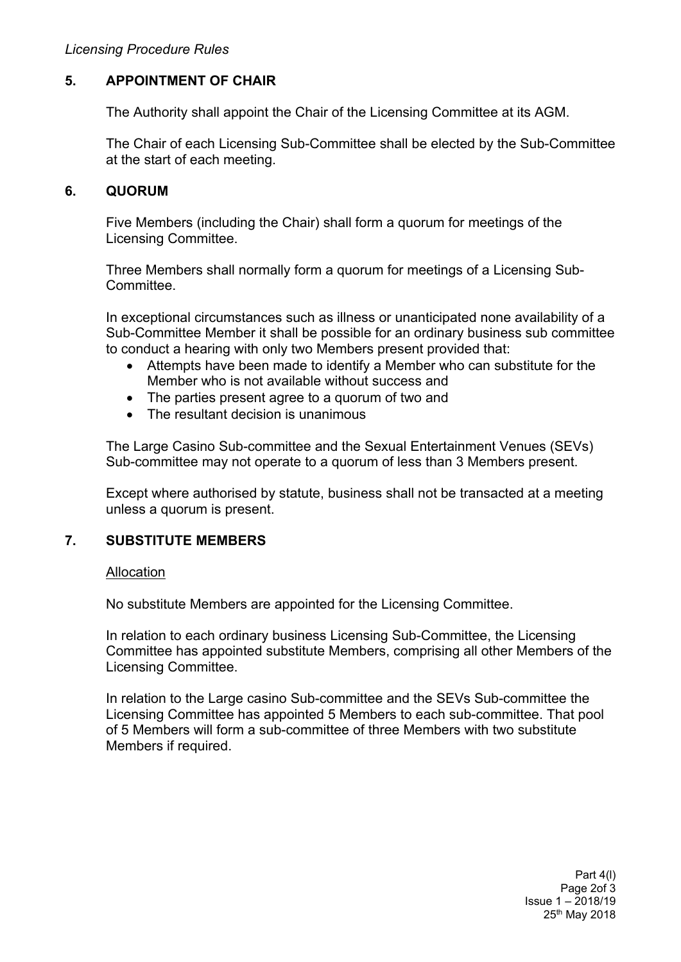## **5. APPOINTMENT OF CHAIR**

The Authority shall appoint the Chair of the Licensing Committee at its AGM.

The Chair of each Licensing Sub-Committee shall be elected by the Sub-Committee at the start of each meeting.

#### **6. QUORUM**

Five Members (including the Chair) shall form a quorum for meetings of the Licensing Committee.

Three Members shall normally form a quorum for meetings of a Licensing Sub-**Committee.** 

In exceptional circumstances such as illness or unanticipated none availability of a Sub-Committee Member it shall be possible for an ordinary business sub committee to conduct a hearing with only two Members present provided that:

- Attempts have been made to identify a Member who can substitute for the Member who is not available without success and
- The parties present agree to a quorum of two and
- The resultant decision is unanimous

The Large Casino Sub-committee and the Sexual Entertainment Venues (SEVs) Sub-committee may not operate to a quorum of less than 3 Members present.

Except where authorised by statute, business shall not be transacted at a meeting unless a quorum is present.

## **7. SUBSTITUTE MEMBERS**

#### Allocation

No substitute Members are appointed for the Licensing Committee.

In relation to each ordinary business Licensing Sub-Committee, the Licensing Committee has appointed substitute Members, comprising all other Members of the Licensing Committee.

In relation to the Large casino Sub-committee and the SEVs Sub-committee the Licensing Committee has appointed 5 Members to each sub-committee. That pool of 5 Members will form a sub-committee of three Members with two substitute Members if required.

> Part 4(l) Page 2of 3 Issue 1 – 2018/19 25th May 2018